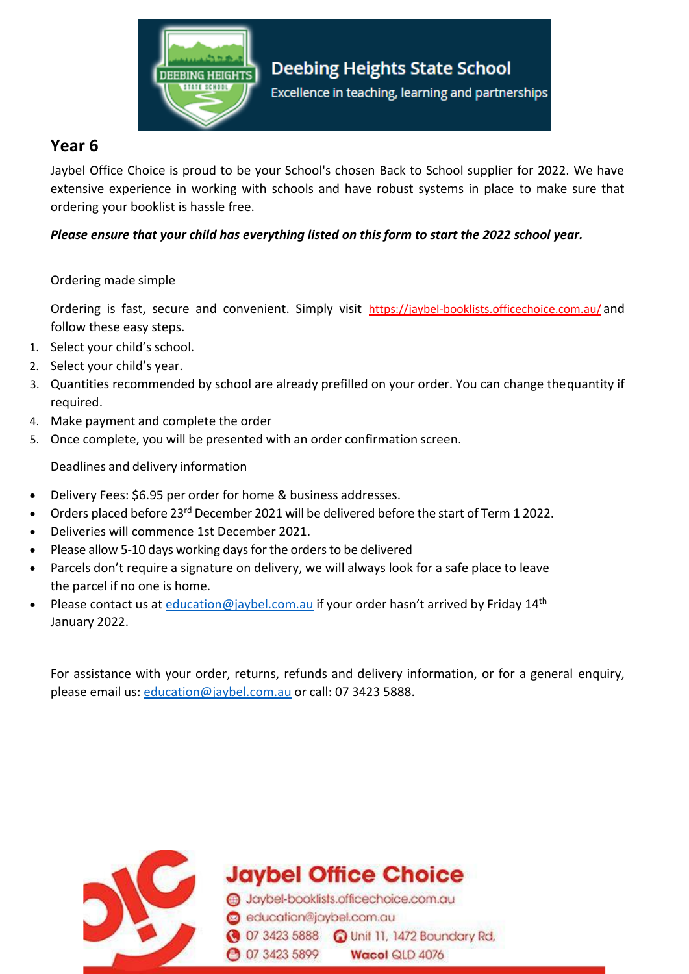

## **Year 6**

Jaybel Office Choice is proud to be your School's chosen Back to School supplier for 2022. We have extensive experience in working with schools and have robust systems in place to make sure that ordering your booklist is hassle free.

### *Please ensure that your child has everything listed on this form to start the 2022 school year.*

#### Ordering made simple

Ordering is fast, secure and convenient. Simply visit https://jaybel-booklists.officechoice.com.au/ and follow these easy steps.

- 1. Select your child's school.
- 2. Select your child's year.
- 3. Quantities recommended by school are already prefilled on your order. You can change thequantity if required.
- 4. Make payment and complete the order
- 5. Once complete, you will be presented with an order confirmation screen.

Deadlines and delivery information

- Delivery Fees: \$6.95 per order for home & business addresses.
- Orders placed before 23<sup>rd</sup> December 2021 will be delivered before the start of Term 1 2022.
- Deliveries will commence 1st December 2021.
- Please allow 5-10 days working days for the orders to be delivered
- Parcels don't require a signature on delivery, we will always look for a safe place to leave the parcel if no one is home.
- Please contact us at [education@jaybel.com.au](mailto:education@jaybel.com.au) if your order hasn't arrived by Friday 14<sup>th</sup> January 2022.

For assistance with your order, returns, refunds and delivery information, or for a general enquiry, please email us: [education@jaybel.com.au](mailto:education@jaybel.com.au) or call: 07 3423 5888.



**Jaybel Office Choice** 

Jaybel-booklists.officechoice.com.au education@jaybel.com.au 3423 5888 a Unit 11, 1472 Boundary Rd, **3423 5899** Wacol QLD 4076